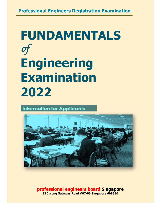# **FUNDAMENTALS**  *of* **Engineering Examination 2022**

**Information for Applicants** 



**professional engineers board Singapore 52 Jurong Gateway Road #07-03 Singapore 608550**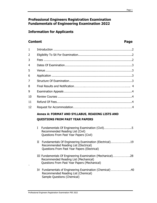# **Professional Engineers Registration Examination Fundamentals of Engineering Examination 2022**

# **Information for Applicants**

# **Content Page 2018**

| $\mathbf{1}$ |                                                                                                                                                                |  |  |  |
|--------------|----------------------------------------------------------------------------------------------------------------------------------------------------------------|--|--|--|
| 2            |                                                                                                                                                                |  |  |  |
| 3            |                                                                                                                                                                |  |  |  |
| 4            |                                                                                                                                                                |  |  |  |
| 5            |                                                                                                                                                                |  |  |  |
| 6            |                                                                                                                                                                |  |  |  |
| 7            |                                                                                                                                                                |  |  |  |
| 8            |                                                                                                                                                                |  |  |  |
| 9            |                                                                                                                                                                |  |  |  |
| 10           |                                                                                                                                                                |  |  |  |
| 11           |                                                                                                                                                                |  |  |  |
| 12           |                                                                                                                                                                |  |  |  |
|              | Annex A: FORMAT AND SYLLABUS, READING LISTS AND                                                                                                                |  |  |  |
|              | <b>QUESTIONS FROM PAST YEAR PAPERS</b>                                                                                                                         |  |  |  |
|              | $\mathbf{I}$<br>Recommended Reading List (Civil)<br>Questions From Past Year Papers (Civil)                                                                    |  |  |  |
|              | Fundamentals Of Engineering Examination (Electrical)19<br>$_{\rm II}$<br>Recommended Reading List (Electrical)<br>Questions From Past Year Papers (Electrical) |  |  |  |

- III Fundamentals Of Engineering Examination (Mechanical)………………….28 Recommended Reading List (Mechanical) Questions From Past Year Papers (Mechanical)
- IV Fundamentals of Engineering Examination (Chemical) …………………….40 Recommended Reading List (Chemical) Sample Questions (Chemical)

`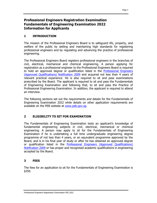# **Professional Engineers Registration Examination Fundamentals of Engineering Examination 2022 Information for Applicants**

# **1 INTRODUCTION**

The mission of the Professional Engineers Board is to safeguard life, property, and welfare of the public by setting and maintaining high standards for registering professional engineers and by regulating and advancing the practice of professional engineering.

The Professional Engineers Board registers professional engineers in the branches of civil, electrical, mechanical and chemical engineering. A person applying for registration as a professional engineer to the Professional Engineers Board is required to hold an approved degree or qualification listed in the **Professional Engineers** (Approved Qualifications) Notification 2009 and acquired not less than 4 years of relevant practical experience. He is also required to sit and pass examinations prescribed by the Board. The applicant is required to sit and pass the Fundamentals of Engineering Examination and following that, to sit and pass the Practice of Professional Engineering Examination. In addition, the applicant is required to attend an interview.

The following sections set out the requirements and details for the Fundamentals of Engineering Examination 2022 while details on other application requirements are available on the PEB website at www.peb.gov.sg.

# **2 ELIGIBILITY TO SIT FOR EXAMINATION**

The Fundamentals of Engineering Examination tests an applicant's knowledge of fundamental engineering subjects in civil, electrical, mechanical or chemical engineering. A person may apply to sit for the Fundamentals of Engineering Examination if he is undertaking a full time undergraduate engineering degree programme of not less than 4 years, or an equivalent programme approved by the Board, and is in his final year of study or after he has obtained an approved degree or qualification listed in the Professional Engineers (Approved Qualifications) Notification 2009 or has proper and recognised academic qualifications in engineering accepted by the Board.

# **3 FEES**

The fees for an application to sit for the Fundamentals of Engineering Examination is \$350.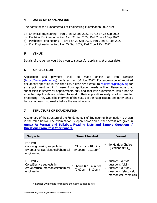# **4 DATES OF EXAMINATION**

The dates for the Fundamentals of Engineering Examination 2022 are:

- a) Chemical Engineering Part 1 on 22 Sep 2022, Part 2 on 23 Sep 2022
- b) Electrical Engineering Part 1 on 22 Sep 2022, Part 2 on 23 Sep 2022
- c) Mechanical Engineering Part 1 on 22 Sep 2022, Part 2 on 23 Sep 2022
- d) Civil Engineering Part 1 on 24 Sep 2022, Part 2 on 1 Oct 2022

# **5 VENUE**

Details of the venue would be given to successful applicants at a later date.

# **6 APPLICATION**

Application and payment shall be made online at PEB website (https://www.peb.gov.sg) no later than 30 Jun 2022. For submission of required documents specified in the checklist, please send email to registrar@peb.gov.sq for an appointment within 1 week from application made online. Please note that submission is strictly by appointments only and that late submissions would not be accepted. Applicants are advised to send in their applications early to allow time for processing. They would be informed of the status of their applications and other details by post at least two weeks before the examinations.

# **7 STRUCTURE OF EXAMINATION**

A summary of the structure of the Fundamentals of Engineering Examination is shown in the table below. The examination is 'open book' and further details are given in **Annex A: Format and Syllabus**, **Reading Lists and Sample Questions / Questions From Past Year Papers.**

| <b>Subjects</b>                                                                                   | <b>Time Allocated</b>                                        | <b>Format</b>                                                                                                               |
|---------------------------------------------------------------------------------------------------|--------------------------------------------------------------|-----------------------------------------------------------------------------------------------------------------------------|
| FEE Part 1<br>Core engineering subjects in<br>civil/mechanical/electrical/chemical<br>engineering | $*3$ hours $8$ 10 mins<br>$(9.00am - 12.10pm)$               | 40 Multiple Choice<br>Questions (MCQ)                                                                                       |
| FEE Part 2<br>Core/Elective subjects in<br>civil/electrical/mechanical/chemical<br>engineering    | *3 hours & 10 minutes<br>$(2.00 \text{pm} - 5.10 \text{pm})$ | Answer 5 out of 9<br>$\bullet$<br>questions (civil)<br>Answer 5 out of 7<br>questions (electrical,<br>mechanical, chemical) |

\* includes 10 minutes for reading the exam questions, etc.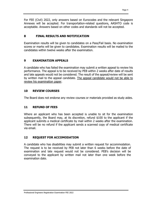For FEE (Civil) 2022, only answers based on Eurocodes and the relevant Singapore Annexes will be accepted. For transportation-related questions, AASHTO code is acceptable. Answers based on other codes and standards will not be accepted.

# **8 FINAL RESULTS AND NOTIFICATION**

Examination results will be given to candidates on a Pass/Fail basis. No examination scores or marks will be given to candidates. Examination results will be mailed to the candidates within twelve weeks after the examination.

# **9 EXAMINATION APPEALS**

A candidate who has failed the examination may submit a written appeal to review his performance. The appeal is to be received by PEB within 2 weeks after date of results and late appeals would not be considered. The result of the appeal/review will be sent by written mail to the appeal candidate. The appeal candidate would not be able to review his examination paper.

# **10 REVIEW COURSES**

The Board does not endorse any review courses or materials provided as study aides.

# **11 REFUND OF FEES**

Where an applicant who has been accepted is unable to sit for the examination subsequently, the Board may, at its discretion, refund \$100 to the applicant if the applicant submits a medical certificate by mail within 2 weeks after the examination. There will be no refund if the applicant sends a scanned copy of medical certificate via email.

# **12 REQUEST FOR ACCOMODATION**

A candidate who has disabilities may submit a written request for accommodation. The request is to be received by PEB not later than 6 weeks before the date of examination and late request would not be considered. PEB's decision will be conveyed to the applicant by written mail not later than one week before the examination date.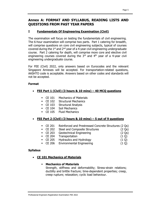# **Annex A: FORMAT AND SYLLABUS, READING LISTS AND QUESTIONS FROM PAST YEAR PAPERS**

# **I Fundamentals Of Engineering Examination (Civil)**

The examination will focus on testing the fundamentals of civil engineering. The 6-hour examination will comprise two parts. Part 1 catering for breadth, will comprise questions on core civil engineering subjects, typical of courses covered during the  $1<sup>st</sup>$  and  $2<sup>nd</sup>$  year of a 4-year civil engineering undergraduate course. Part 2 catering for depth, will comprise more core and elective civil engineering courses covered during the  $3<sup>rd</sup>$  and  $4<sup>th</sup>$  year of a 4-year civil engineering undergraduate course.

For FEE (Civil) 2022, only answers based on Eurocodes and the relevant Singapore Annexes will be accepted. For transportation-related questions, AASHTO code is acceptable. Answers based on other codes and standards will not be accepted.

# **Format**

# **FEE Part 1 (Civil) (3 hours & 10 mins) – 40 MCQ questions**

- **CE 101 Mechanics of Materials**
- CE 102 Structural Mechanics
- **CE 103** Structural Analysis
- CE 104 Soil Mechanics
- CE 105 Fluid Mechanics

# **FEE Part 2 (Civil) (3 hours & 10 mins) – 5 out of 9 questions**

- CE 201 Reinforced and Prestressed Concrete Structures (2 Qs)
- CE 202 Steel and Composite Structures (2 Qs)
- CE 203 Geotechnical Engineering (2 Qs)
- CE 204 Transportation (1 Q)
- $\blacksquare$  CE 205 Hydraulics and Hydrology (1 Q)
- CE 206 Environmental Engineering (1 Q)

# **Syllabus**

- **CE 101 Mechanics of Materials** 
	- **Mechanics of Materials**

Strength, stiffness and deformability; Stress-strain relations; ductility and brittle fracture; time-dependent properties; creep, creep rupture; relaxation; cyclic load behaviour.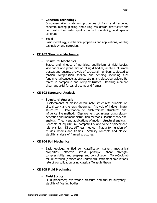#### **Concrete Technology**

Concrete-making materials, properties of fresh and hardened concrete, mixing, placing, and curing, mix design, destructive and non-destructive tests, quality control, durability, and special concrete.

#### **Steel**

Basic metallurgy, mechanical properties and applications, welding technology and corrosion.

## **CE 102 Structural Mechanics**

## **Structural Mechanics**

Statics and kinetics of particles, equilibrium of rigid bodies, kinematics and plane motion of rigid bodies, analysis of simple trusses and beams, analysis of structural members subjected to tension, compression, torsion, and bending, including such fundamental concepts as stress, strain, and elastic behaviour. Bar forces in compound and complex trusses. Bending moment, shear and axial forces of beams and frames.

# **CE 103 Structural Analysis**

## **Structural Analysis**

Displacements of elastic determinate structures: principle of virtual work and energy theorems. Analysis of indeterminate structures. Deformation of indeterminate structures and influence line method. Displacement techniques using slopedeflection and moment distribution methods. Plastic theory and analysis. Theory and applications of modern structural analysis. Concepts of equilibrium, compatibility and force-displacement relationships. Direct stiffness method. Matrix formulation of trusses, beams and frames. Stability concepts and elastic stability analysis of framed structures.

# **CE 104 Soil Mechanics**

 Basic geology, unified soil classification system, mechanical properties, effective stress principle, shear strength, compressibility, and seepage and consolidation; Mohr-Coulomb failure criterion (drained and undrained), settlement calculations, rate of consolidation using classical Terzaghi theory.

#### **CE 105 Fluid Mechanics**

#### **Fluid Statics**

Fluid properties; hydrostatic pressure and thrust; buoyancy; stability of floating bodies.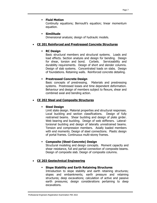#### **Fluid Motion**

Continuity equations; Bernoulli's equation; linear momentum equation.

#### **Similitude**

Dimensional analysis; design of hydraulic models.

#### **CE 201 Reinforced and Prestressed Concrete Structures**

#### **RC Design**

Basic structural members and structural systems. Loads and load effects. Section analysis and design for bending. Design for shear, torsion and bond. Corbels. Serviceability and durability requirements. Design of short and slender columns. Design of slab systems. Concentrated loads on slabs. Design of foundations. Retaining walls. Reinforced concrete detailing.

## **Prestressed Concrete Design**

Basic concepts of prestressing. Materials and prestressing systems. Prestressed losses and time dependent deformation. Behaviour and design of members subject to flexure, shear and combined axial and bending action.

#### **CE 202 Steel and Composite Structures**

#### **Steel Design**

Limit state design. Material properties and structural responses. Local buckling and section classifications. Design of fully restrained beams. Shear buckling and design of plate girder. Web bearing and buckling. Design of web stiffeners. Lateraltorsional buckling and design of laterally unrestrained beams. Tension and compression members. Axially loaded members with end moments. Design of steel connections. Plastic design of portal frames. Continuous multi-storey frames.

#### **Composite (Steel-Concrete) Design**

Structural modeling and design concepts. Moment capacity and shear resistance, full and partial connection of composite beams. Design of composite slab. Design of composite columns.

#### **CE 203 Geotechnical Engineering**

#### **Slope Stability and Earth Retaining Structures**

Introduction to slope stability and earth retaining structures; slopes and embankments; earth pressure and retaining structures; deep excavations; calculation of active and passive earth pressures; design considerations pertaining to deep excavations.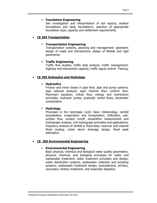#### **Foundation Engineering**

Site investigation and interpretation of soil reports; shallow foundations and deep foundations; selection of appropriate foundation type; capacity and settlement requirements.

#### **CE 204 Transportation**

#### **Transportation Engineering**

Transportation systems, planning and management; geometric design of roads and intersections; design of flexible and rigid pavements.

#### **Traffic Engineering**

Traffic flow studies; traffic data analysis; traffic management; highway and intersection capacity; traffic signal control. Parking.

#### **CE 205 Hydraulics and Hydrology**

#### **Hydraulics**

Friction and minor losses in pipe flow; pipe and pump systems; pipe network analysis; open channel flow; uniform flow, Manning's equation; critical flow; energy and momentum principles; hydraulic jumps; gradually varied flows, backwater computation.

#### **Hydrology**

Processes in the hydrologic cycle: basic meteorology, rainfall precipitation, evaporation and transpiration, infiltration, subsurface flow, surface runoff, streamflow measurement and hydrograph analysis; unit hydrograph principles and applications; frequency analysis of rainfall or flood data; reservoir and channel flood routing; urban storm drainage design, flood peak estimation.

#### **CE 206 Environmental Engineering**

#### **Environmental Engineering**

Basic physical, chemical and biological water quality parameters; physical, chemical, and biological processes for water and wastewater treatment; water treatment principles and design; water distribution systems; wastewater collection and pumping systems; wastewater treatment design; pretreatment, primary, secondary, tertiary treatment, and anaerobic digestion.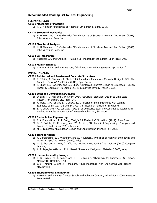#### **Recommended Reading List for Civil Engineering**

#### **FEE Part 1 (Civil)**

#### **CE101 Mechanics of Materials**

1) R. C. Hibbeler, "Mechanics of Materials" 9th Edition SI units, 2014.

#### **CE120 Structural Mechanics**

1) H. H. West and L. F. Geshwinder, "Fundamentals of Structural Analysis" 2nd Edition (2002), John Wiley and Sons, Inc.

#### **CE103 Structural Analysis**

1) H. H. West and L. F. Geshwinder, "Fundamentals of Structural Analysis" 2nd Edition (2002), John Wiley and Sons, Inc.

#### **CE104 Soil Mechanics**

1) Knappett, J.A. and Craig, R.F., "Craig's Soil Mechanics" 8th edition, Spon Press, 2012

#### **CE105 Fluid Mechanics**

1) J. B. Franzini, E. and J. Finnemore, "Fluid Mechanics with Engineering Applications"

#### **FEE Part 2 (Civil)**

#### **CE201 Reinforced and Prestressed Concrete Strucutres**

- 1) E. O'Brien, A. Dixon and E. Sheils, "Reinforced and Prestressed Concrete Design to EC2: The Complete Process" 2nd Edition (2013), Spon Press.
- 2) P. Bhatt, T.J. MacGinley and B.S. Choo, "Reinforced Concrete Design to Eurocodes Design Theory & Examples" 4th Edition (2014), CRC Press Taylor& Francis Group.

#### **CE202 Steel and Composite Structures**

- 1) D. Lam, T. C. Ang and S. P. Chiew, 2014, "Structural Steelwork Design to Limit State Theory", 4th edition, CRC Press, UK.
- 2) F. Wald, K. H. Tan and S. P. Chiew, 2011, "Design of Steel Structures with Worked Examples to EN 1993-1-1 and EN 1993-1-8", Research Publishing, Singapore.
- 3) S. P. Chiew and Y. Q. Cai, 2013, "Design of Composite Steel and Concrete Structures with Worked Examples to Eurocode 4", Research Publishing, Singapore.

#### **CE203 Geotechnical Engineering**

- 1) J. A. Knappett, and R. F. Craig, "Craig's Soil Mechanics" 8th edition (2012), Spon Press.
- 2) D. P. Coduto, M. R. Yeung, and W. A. Kitch, "Geotechnical Engineering: Principles and Practices", 2nd edition (2011), Pearson.
- 3) M. J. Tomlinson, "Foundation Design and Construction", Prentice Hall, 2001.

#### **CE204 Transportation**

- 1) F. L. Mannering, S. S. Washburn, and W. P. Kilareski, "Principles of Highway Engineering and Traffic Analysis" 4th Edition (2009), Wiley.
- 2) N. Garber and L. Hoel, "Traffic and Highway Engineering" 4th Edition (2010) Cengage Learning.
- 3) A. T. Papagiannakis, and E. A. Masad, "Pavement Design and Materials", 2008, Wiley.

#### **CE205 Hydraulics and Hydrology**

- 1) R. K. Linsley, M. A. Kohler, and J. L. H. Paulhus, "Hydrology for Engineers", SI Edition, McGraw Hill Book Co. 1998.
- 2) J. B. Franzini, E. and J. Finnemore, "Fluid Mechanics with Engineering Applications" McGraw-Hill

#### **CE206 Environmental Engineering**

1) Viessman and Hammer, "Water Supply and Pollution Control", 7th Edition (2004), Pearson Prentice Hall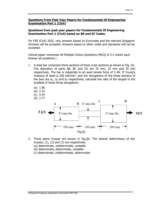# **Questions from past year papers for Fundamentals Of Engineering Examination Part 1 (Civil) based on BS and EC Codes.**

For FEE (Civil) 2022, only answers based on Eurocodes and the relevant Singapore Annexes will be accepted. Answers based on other codes and standards will not be accepted.

(Actual paper comprises 40 Multiple Choice Questions (MCQ) of 2.5 marks each. Answer all questions.)

- 1. A steel bar comprises three sections of three cross sections as shown in Fig. Q1. The diameters of parts AB, BC and CD are 25 mm, 15 mm and 35 mm respectively. The bar is subjected to an axial tensile force of 5 kN. If Young's modulus of steel is 200 kN/mm2, and the elongations of the three sections of the bars are  $\Delta_1$ ,  $\Delta_2$  and  $\Delta_3$  respectively, calculate the ratio of the largest to the smallest of these three elongations.
	- (a) 1.96
	- (b) 2.33
	- (c) 5.44
	- (d) 2.77



- 2. Three plane trusses are shown in Fig.Q2. The statical determinacy of the trusses,  $(1)$ ,  $(2)$  and  $(3)$  are respectively:
	- (a) determinate, indeterminate, unstable
	- (b) determinate, determinate, unstable
	- (c) determinate, indeterminate, determinate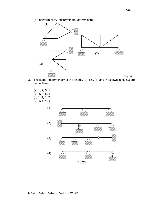



- 3. The static indeterminacy of the beams, (1), (2), (3) and (4) shown in Fig.Q3 are respectively:
	- (a) 1, 4, 5, 1
	- (b) 2, 4, 5, 2
	- (c) 1, 4, 5, 2
	- (d) 1, 5, 4, 1

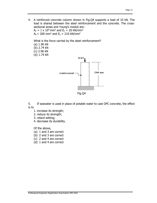4. A reinforced concrete column shown in Fig.Q4 supports a load of 10 kN. The load is shared between the steel reinforcement and the concrete. The crosssectional areas and Young's moduli are:

 $A_c = 1 \times 10^4$  mm<sup>2</sup> and  $E_c = 20$  kN/mm<sup>2</sup>  $A_s = 200$  mm<sup>2</sup> and  $E_s = 210$  kN/mm<sup>2</sup>

What is the force carried by the steel reinforcement?

- (a) 1.96 kN (b) 2.74 kN
- (c) 2.96 kN
- (d) 1.74 kN



Fig.Q4

5. If seawater is used in place of potable water to cast OPC concrete, the effect is to

- 1. increase its strength;
- 2. reduce its strength;
- 3. retard setting;
- 4. decrease its durability.

Of the above,

- (a) 1 and 3 are correct
- (b) 2 and 3 are correct
- (c) 2 and 4 are correct
- (d) 1 and 4 are correct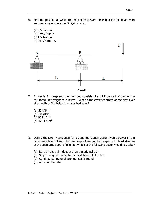6. Find the position at which the maximum upward deflection for this beam with an overhang as shown in Fig.Q6 occurs.



- 7. A river is 3m deep and the river bed consists of a thick deposit of clay with a saturated unit weight of 20kN/m**<sup>3</sup>**. What is the effective stress of the clay layer at a depth of 3m below the river bed level?
	- (a) 30 kN/m**<sup>2</sup>** (b) 60 kN/m**<sup>2</sup>** (c) 90 kN/m**<sup>2</sup>** (d) 120 kN/m**<sup>2</sup>**
- 8. During the site investigation for a deep foundation design, you discover in the borehole a layer of soft clay 5m deep where you had expected a hard stratum at the estimated depth of pile toe. Which of the following action would you take?
	- (a) Bore an extra 5m deeper than the original plan
	- (b) Stop boring and move to the next borehole location
	- (c) Continue boring until stronger soil is found
	- (d) Abandon the site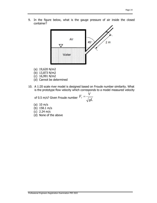9. In the figure below, what is the gauge pressure of air inside the closed container?



- (a) 19,620 N/m2
- (b) 13,873 N/m2
- (c) 16,991 N/m2
- (d) Cannot be determined
- 10. A 1:20 scale river model is designed based on Froude number similarity. What is the prototype flow velocity which corresponds to a model measured velocity

of 0.5 m/s? Given Froude number  $\displaystyle{r_{\scriptscriptstyle{r}}}$  =  $\sqrt{\overline{gL}}$  $F_r = \frac{V}{\sqrt{2}}$ 

- (a) 10 m/s
- (b) 158.1 m/s
- (c) 2.24 m/s
- (d) None of the above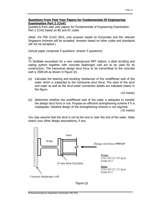## **Questions From Past Year Papers for Fundamentals Of Engineering Examination Part 2 (Civil)**

Questions from past year papers for Fundamentals of Engineering Examination Part 2 (Civil) based on BS and EC codes

(Note: For FEE (Civil) 2022, only answers based on Eurocodes and the relevant Singapore Annexes will be accepted. Answers based on other codes and standards will not be accepted.)

(Actual paper comprises 9 questions. Answer 5 questions)

Q1.

To facilitate excavation for a new underground MRT station, a steel strutting and waling system together with concrete diaphragm wall are to be used for its construction. The transverse design strut force to be transmitted to the concrete wall is 3500 kN as shown in Figure Q1.

(a) Calculate the bearing and buckling resistances of the unstiffened web of the waler which is subjected to the transverse strut force. The sizes of the strut and waler as well as the strut-waler connection details are indicated clearly in the figure.

(10 marks)

(b) Determine whether the unstiffened web of the waler is adequate to transfer the design strut force or not. Propose an effective strengthening scheme if it is inadequate. Detailed design of the strengthening scheme is not required.

(10 marks)

You may assume that the strut is not at the end or near the end of the waler. State clearly your other design assumptions, if any.



Figure Q1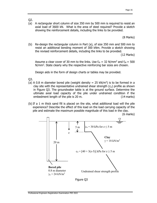- Q2.
- (a) A rectangular short column of size 350 mm by 500 mm is required to resist an axial load of 3600 kN. What is the area of steel required? Provide a sketch showing the reinforcement details, including the links to be provided.

(8 Marks)

(b) Re-design the rectangular column in Part (a), of size 350 mm and 500 mm to resist an additional bending moment of 300 kNm. Provide a sketch showing the revised reinforcement details, including the links to be provided.

(12 Marks)

Assume a clear cover of 30 mm to the links. Use  $f_{ck} = 32$  N/mm<sup>2</sup> and  $f_{yk} = 500$ N/mm<sup>2</sup>. State clearly why the respective reinforcing bar sizes are chosen.

Design aids in the form of design charts or tables may be provided.

Q3.

- (a) A 0.8 m diameter bored pile (weight density  $= 25$  kN/m<sup>3</sup>) is to be formed in a clay site with the representative undrained shear strength  $(c<sub>u</sub>)$  profile as shown in Figure Q3. The groundwater table is at the ground surface. Determine the ultimate axial load capacity of the pile under undrained condition if the embedment length of the pile is 20 m. (14 marks)
- (b) If a 1 m thick sand fill is placed on the site, what additional load will the pile experience? Describe the effect of this load on the load carrying capacity of the pile and estimate the maximum possible magnitude of this load in the clay.

(6 marks)



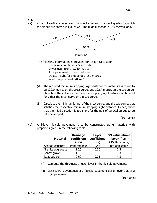- Q4.
- (a) A pair of vertical curves are to connect a series of tangent grades for which the slopes are shown in Figure Q4. The middle section is 150 metres long.



The following information is provided for design calculation. Driver reaction time: 2.5 seconds Driver eye height: 1.050 metres Tyre-pavement friction coefficient: 0.30 Object height for stopping: 0.150 metres Road design speed: 70 km/h

- (i) The required minimum stopping sight distance for motorists is found to be 120.0 metres on the crest curve, and 122.7 metres on the sag curve. Show how the value for the minimum stopping sight distance is obtained for either the crest curve or the sag curve.
- (ii) Calculate the minimum length of the crest curve, and the sag curve, that satisfies the respective minimum stopping sight distance. Hence, show that the middle section is too short for the pair of vertical curves to be fully developed.

(10 marks)

(b) A 3-layer flexible pavement is to be constructed using materials with properties given in the following table.

| <b>Material</b>   | <b>Drainage</b><br>coefficient<br>(m's) | Layer<br>coefficient<br>(a's) | <b>SN value above</b><br>layer (from<br>AASHTO charts) |
|-------------------|-----------------------------------------|-------------------------------|--------------------------------------------------------|
| Asphalt concrete  | impermeable                             | 0.45                          | not applicable                                         |
| Granite aggregate | 1.20                                    | 0.20                          | 2.3                                                    |
| Sandy gravel      | 1.10                                    | 0.12                          | 3.3                                                    |
| Roadbed soil      | 0.60                                    | 0.05                          | 4.3                                                    |

- (i) Compute the thickness of each layer in the flexible pavement.
- (ii) List several advantages of a flexible pavement design over that of a rigid pavement.

(10 marks)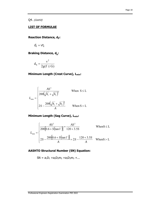Q4. (Cont'd)

#### **LIST OF FORMULAE**

**Reaction Distance, dr:** 

$$
d_r = vt_r
$$

**Braking Distance, d<sub>b</sub>:** 

$$
d_b = \frac{v^2}{2g(f \pm G)}
$$

**Minimum Length (Crest Curve), Lmin:** 

$$
L_{\min} = \begin{cases} \frac{AS^2}{200(\sqrt{h_1} + \sqrt{h_2})^2} & \text{When } S \le L\\ 2S - \frac{200(\sqrt{h_1} + \sqrt{h_2})^2}{A} & \text{When } S > L \end{cases}
$$

**Minimum Length (Sag Curve), Lmin:** 

$$
L_{\min} = \begin{cases} \frac{AS^2}{200[0.6 + S(\tan 1^\circ)]} = \frac{AS^2}{120 + 3.5S} & \text{When } S \le L\\ 2S - \frac{200[0.6 + S(\tan 1^\circ)]}{A} = 2S - \frac{120 + 3.5S}{A} & \text{When } S > L \end{cases}
$$

# **AASHTO Structural Number (SN) Equation:**

 $SN = a_1D_1 + a_2D_2m_2 + a_3D_3m_3 + ...$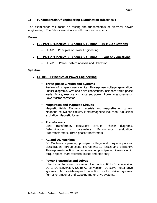# **II Fundamentals Of Engineering Examination (Electrical)**

The examination will focus on testing the fundamentals of electrical power engineering. The 6-hour examination will comprise two parts.

#### **Format**

- **FEE Part 1 (Electrical) (3 hours & 10 mins) 40 MCQ questions** 
	- **EE 101** Principles of Power Engineering

## **FEE Part 2 (Electrical) (3 hours & 10 mins) - 5 out of 7 questions**

**EE 201** Power System Analysis and Utilization

#### **Syllabus**

#### **EE 101 Principles of Power Engineering**

 **Three-phase Circuits and Systems**  Review of single-phase circuits. Three-phase voltage generation. Phasor diagrams. Wye and delta connections. Balanced three-phase loads. Active, reactive and apparent power. Power measurements. Power factor correction.

#### **Magnetism and Magnetic Circuits**

Magnetic fields. Magnetic materials and magnetization curves. Magnetic equivalent circuits. Electromagnetic induction. Sinusoidal excitation. Magnetic losses.

#### **Transformers**

Ideal transformer. Equivalent circuits. Phasor diagrams. Determination of parameters. Performance evaluation. Autotransformers. Three-phase transformers.

#### **AC and DC Machines**

DC Machines: operating principle, voltage and torque equations, classification, torque-speed characteristics, losses and efficiency. Three-phase induction motors: operating principle, equivalent circuit, torque-speed characteristics, losses and efficiency.

#### **Power Electronics and Drives**

Introduction to power conversion. Harmonics. AC to DC conversion. DC to DC conversion. DC to AC conversion. DC servo motor drive systems. AC variable-speed induction motor drive systems. Permanent magnet and stepping motor drive systems.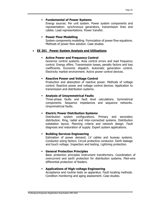#### **Fundamental of Power Systems**

Energy sources. Per unit system. Power system components and representation: synchronous generators, transmission lines and cables. Load representations. Power transfer.

#### **Power Flow Modelling**

System components modelling. Formulation of power flow equations. Methods of power flow solution. Case studies.

#### **EE 201 Power System Analysis and Utilizations**

#### **Active Power and Frequency Control**

Governor control systems. Area control errors and load frequency control. Energy offers. Transmission losses, penalty factors and loss coefficients. Economic dispatch. Automatic generation control. Electricity market environment. Active power control devices.

#### **Reactive Power and Voltage Control**

Production and absorption of reactive power. Methods of voltage control. Reactive power and voltage control devices. Application to transmission and distribution systems.

#### **Analysis of Unsymmetrical Faults**

Three-phase faults and fault level calculations. Symmetrical components. Sequence impedances and sequence networks. Unsymmetrical faults.

#### **Electric Power Distribution Systems**

Distribution system configurations. Primary and secondary distribution. Ring, radial and inter-connected systems. Distribution substation layout. Planning criteria and network design. Fault diagnosis and restoration of supply. Expert system applications.

#### **Building Services Engineering**

Estimation of power demand. LV cables and busway systems. Conductor sizing factors. Circuit protective conductor. Earth leakage and touch voltage. Inspection and testing. Lightning protection.

#### **General Protection Principles**

Basic protection principles Instrument transformers. Coordination of overcurrent and earth protection for distribution systems. Pilot-wire differential protection of feeders.

#### **Applications of High-voltage Engineering**

Acceptance and routine tests on apparatus. Fault locating methods. Condition monitoring and aging assessment. Case studies.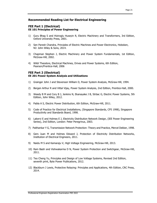#### **Recommended Reading List for Electrical Engineering**

#### **FEE Part 1 (Electrical) EE 101 Principles of Power Engineering**

- 1) Guru Bhag S and Hiziroglu Huseyin R, Electric Machinery and Transformers, 3rd Edition, Oxford University Press, 2001.
- 2) Sen Paresh Chandra, Principles of Electric Machines and Power Electronics, Hoboken, NJ: John Wiley & Sons, 2014.
- 3) Chapman Stephen J, Electric Machinery and Power System Fundamentals, 1st Edition, McGraw-Hill, 2002.
- 4) Wildi Theodore, Electrical Machines, Drives and Power Systems, 6th Edition, Pearson/Prentice-Hall, 2006

#### **FEE Part 2 (Electrical) EE 201 Power System Analysis and Utilizations**

- 1) Grainger John J and Stevenson William D, Power System Analysis, McGraw-Hill, 1994.
- 2) Bergen Arthur R and Vittal Vijay, Power System Analysis, 2nd Edition, Prentice-Hall, 2000.
- 3) Weedy B M and Cory B J, Jenkins N, Ekanayake J B, Strbac G, Electric Power Systems, 5th Edition, John Wiley, 2012.
- 4) Pabla A S, Electric Power Distribution, 6th Edition, McGraw-Hill, 2011.
- 5) Code of Practice for Electrical Installations, (Singapore Standards, CP5 1998), Singapore Productivity and Standards Board, 1998.
- 6) Lakervi E and Holmes E J, Electricity Distribution Network Design, (IEE Power Engineering Series), 2nd Edition, London: Peter Peregrinus, 2003.
- 7) Paithankar Y G, Transmission Network Protection: Theory and Practice, Mercel Dekker, 1998.
- 8) Gers Juan M and Holmes Edward J, Protection of Electricity Distribution Networks, Institution of Electrical Engineers, 2011.
- 9) Naidu M S and Kamaraju V, High Voltage Engineering, McGraw-Hill, 2013.
- 10) Ram Badri and Vishwakarma D N, Power System Protection and Switchgear, McGraw-Hill, 2011.
- 11) Teo Cheng Yu, Principles and Design of Low Voltage Systems, Revised 2nd Edition, seventh print, Byte Power Publications, 2012.
- 12) Blackburn J Lewis, Protective Relaying: Principles and Applications, 4th Edition, CRC Press, 2014.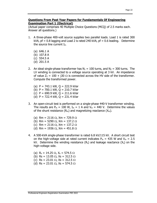#### **Questions From Past Year Papers for Fundamentals Of Engineering Examination Part 1 (Electrical)**

(Actual paper comprises 40 Multiple Choice Questions (MCQ) of 2.5 marks each. Answer all questions.)

- 1. A three-phase 400-volt source supplies two parallel loads. Load 1 is rated 300 kVA,  $pf = 0.8$  lagging and Load 2 is rated 240 kVA,  $pf = 0.6$  leading. Determine the source line current Ia.
	- (a) 646.1 A
	- (b) 107.8 A
	- (c) 554.5 A
	- (d) 201.5 A
- 2. An ideal single-phase transformer has  $N_1 = 100$  turns, and  $N_2 = 300$  turns. The LV winding is connected to a voltage source operating at 3 kV. An impedance of value  $Z_2 = 100 + 130 \Omega$  is connected across the HV side of the transformer. Compute the transformed power.
	- (a)  $P = 743.1$  kW,  $Q = 222.9$  kVar
	- (b)  $P = 700.1$  kW,  $Q = 210.7$  kVar
	- (c) P = 690.9 kW, Q = 211.6 kVar
	- (d)  $P = 722.4$  kW,  $Q = 231.4$  kVar
- 3. An open-circuit test is performed on a single-phase 440-V transformer winding. The results are  $P_{in} = 100$  W,  $I_{in} = 1$  A and  $V_{in} = 440$  V. Determine the values of the shunt resistance  $(R_m)$  and magnetizing reactance  $(X_m)$ .
	- (a) Rm = 2116  $\Omega$ , Xm = 729.9  $\Omega$
	- (b) Rm = 5290  $\Omega$ , Xm = 137.2  $\Omega$
	- (c) Rm = 2116  $\Omega$ , Xm = 137.2  $\Omega$
	- (d) Rm = 1936  $\Omega$ , Xm = 451.8  $\Omega$
- 4. A 500-kVA single-phase transformer is rated 6.8 kV/115 kV. A short circuit test on the high-voltage side at rated current indicates  $P_{in} = 435$  W and  $V_{in} = 2.5$ kV. Determine the winding resistance  $(R_s)$  and leakage reactance  $(X_s)$  on the high-voltage side.
	- (a)  $R_s = 14.25 \Omega$ ,  $X_s = 574.5 \Omega$
	- (b) Rs = 13.05  $\Omega$ , Xs = 312.5  $\Omega$
	- (c) Rs = 23.01  $\Omega$ , Xs = 312.5  $\Omega$
	- (d) Rs = 23.01  $\Omega$ , Xs = 574.5  $\Omega$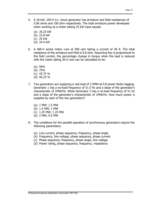- 5. A 25-kW, 250-V d.c. shunt generator has armature and field resistances of 0.06 ohms and 100 ohm respectively. The total armature power developed when working as a motor taking 25 kW input equals:
	- (a) 26.25 kW
	- (b) 23.8 kW
	- (c) 25 kW
	- (d) 24.4 kW
- 6. A 460-V series motor runs at 500 rpm taking a current of 40 A. The total resistance of the armature and field is 0.8 ohm. Assuming flux is proportional to the field current, the percentage change in torque when the load is reduced with the motor taking 30 A now can be calculated to be:
	- (a) 50%
	- (b) 75%
	- (c) 43.75 %
	- (d) 56.25 %
- 7. Two generators are supplying a real load of 2.5MW at 0.8 power factor lagging. Generator 1 has a no-load frequency of 51.5 Hz and a slope of the generator's characteristic of 1MW/Hz. While Generator 2 has a no-load frequency of 51 Hz and a slope of the generator's characteristic of 1MW/Hz. How much power is supplied by each of the two generators?
	- (a) 1 MW; 1.5 MW
	- (b) 1.5 MW; 1 MW
	- (c) 1.25 MW; 1.25 MW
	- (d) 2 MW; 0.5 MW
- 8. The conditions for the parallel operation of synchronous generators require the following parameters:
	- (a) Line current, phase sequence, frequency, phase angle
	- (b) Frequency, line voltage, phase sequence, phase current
	- (c) Phase sequence, frequency, phase angle, line voltage
	- (d) Power rating, phase sequence, frequency, impedance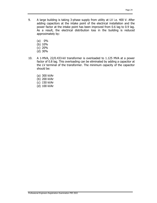- 9. A large building is taking 3-phase supply from utility at LV i.e. 400 V. After adding capacitors at the intake point of the electrical installation and the power factor at the intake point has been improved from 0.6 lag to 0.9 lag. As a result, the electrical distribution loss in the building is reduced approximately by:
	- (a) 0%
	- (b) 10%
	- (c) 20%
	- (d) 30%
- 10. A 1-MVA, 22/0.433-kV transformer is overloaded to 1.125 MVA at a power factor of 0.8 lag. This overloading can be eliminated by adding a capacitor at the LV terminal of the transformer. The minimum capacity of the capacitor should be:
	- (a) 300 kVAr
	- (b) 200 kVAr
	- (c) 150 kVAr
	- (d) 100 kVAr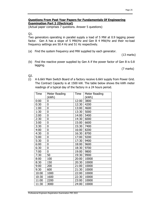#### **Questions From Past Year Papers for Fundamentals Of Engineering Examination Part 2 (Electrical)**

(Actual paper comprises 7 questions. Answer 5 questions)

Q1.

Two generators operating in parallel supply a load of 5 MW at 0.9 lagging power factor. Gen A has a slope of 5 MW/Hz and Gen B 4 MW/Hz and their no-load frequency settings are 50.4 Hz and 51 Hz respectively.

(a) Find the system frequency and MW supplied by each generator.

(13 marks)

(b) Find the reactive power supplied by Gen A if the power factor of Gen B is 0.8 lagging.

(7 marks)

Q2.

(i) A 6.6kV Main Switch Board of a factory receive 6.6kV supply from Power Grid. The Contract Capacity is at 1500 kW. The table below shows the kWh meter readings of a typical day of the factory in a 24 hours period.

| Time  | Meter Reading | Time  | Meter Reading |
|-------|---------------|-------|---------------|
|       | (kWh)         |       | (kWh)         |
| 0:00  | 0             | 12:00 | 3800          |
| 0:30  | 0             | 12:30 | 4200          |
| 1:00  | 0             | 13:00 | 4600          |
| 1:30  | 0             | 13:30 | 5000          |
| 2:00  | 0             | 14:00 | 5400          |
| 2:30  | 0             | 14:30 | 6000          |
| 3:00  | 0             | 15:00 | 6600          |
| 3:30  | 0             | 15:30 | 7400          |
| 4:00  | 0             | 16:00 | 8200          |
| 4:30  | 0             | 16:30 | 8700          |
| 5:00  | 0             | 17:00 | 9200          |
| 5:30  | 0             | 17:30 | 9400          |
| 6:00  | 0             | 18:00 | 9600          |
| 6:30  | 0             | 18:30 | 9700          |
| 7:00  | 0             | 19:00 | 9800          |
| 7:30  | 50            | 19:30 | 9900          |
| 8:00  | 100           | 20:00 | 10000         |
| 8:30  | 150           | 20:30 | 10000         |
| 9:00  | 200           | 21:00 | 10000         |
| 9:30  | 600           | 21:30 | 10000         |
| 10:00 | 1000          | 22:00 | 10000         |
| 10:30 | 1600          | 22:30 | 10000         |
| 11:00 | 2200          | 23:00 | 10000         |
| 11:30 | 3000          | 24:00 | 10000         |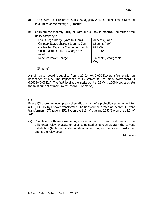- a) The power factor recorded is at 0.76 lagging. What is the Maximum Demand in 30 mins of the factory? (3 marks)
- b) Calculate the monthly utility bill (assume 30 day in month). The tariff of the utility company is,

| Peak Usage charge (7am to 11pm)      | 20 cents / kWh         |
|--------------------------------------|------------------------|
| Off peak Usage charge (11pm to 7am)  | 12 cents / kWh         |
| Contracted Capacity Charge per month | \$8 / kW               |
| Uncontracted Capacity Charge per     | \$11 / kW              |
| month                                |                        |
| Reactive Power Charge                | 0.6 cents / chargeable |
|                                      | kVArh                  |

# (5 marks)

A main switch board is supplied from a 22/0.4 kV, 2,000 kVA transformer with an impedance of 6%. The impedance of LV cables to the main switchboard is 0.0005+j0.0012 Ω. The fault level at the intake point at 22 kV is 1,000 MVA, calculate the fault current at main switch board. (12 marks)

# Q3.

Figure Q3 shows an incomplete schematic diagram of a protection arrangement for a 115/13.2 kV Dy1 power transformer. The transformer is rated at 25 MVA. Current transformers (CT) ratio is 150/5 A on the 115 kV side and 2250/5 A on the 13.2 kV side.

(a) Complete the three-phase wiring connection from current tranformers to the differential relay. Indicate on your completed schematic diagram the current distribution (both magnitude and direction of flow) on the power transformer and in the relay circuit.

(14 marks)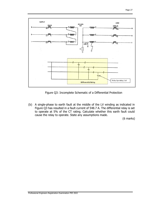

Figure Q3: Incomplete Schematic of a Differential Protection

(b) A single-phase to earth fault at the middle of the LV winding as indicated in Figure Q3 has resulted in a fault current of 548.7 A. The differential relay is set to operate at 5% of the CT rating. Calculate whether this earth fault could cause the relay to operate. State any assumptions made.

(6 marks)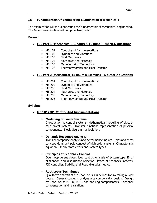# **III Fundamentals Of Engineering Examination (Mechanical)**

The examination will focus on testing the fundamentals of mechanical engineering. The 6-hour examination will comprise two parts:

#### **Format**

- **FEE Part 1 (Mechanical) (3 hours & 10 mins) 40 MCQ questions** 
	- **ME 101** Control and Instrumentations
	- **ME 102** Dynamics and Vibrations
	- **ME 103** Fluid Mechanics
	- **ME 104 Mechanics and Materials**
	- ME 105 Manufacturing Technology
	- **ME 106** Thermodynamics and Heat Transfer

# **FEE Part 2 (Mechanical) (3 hours & 10 mins) – 5 out of 7 questions**

- ME 201 Control and Instrumentations
- **ME 202** Dynamics and Vibrations
- **ME 203** Fluid Mechanics
- **ME 204 Mechanics and Materials**
- ME 205 Manufacturing Technology
- ME 206 Thermodynamics and Heat Transfer

#### **Syllabus**

**ME 101/201 Control And Instrumentations** 

#### **Modelling of Linear Systems**

Introduction to control systems. Mathematical modelling of electromechanical systems. Transfer functions representation of physical components. Block diagram manipulation.

#### **Dynamic Response Analysis**

Transient response analysis and performance indices. Poles and zeros concept, dominant pole concept of high order systems. Characteristic equation. Steady state errors and system types.

# **Principles of Feedback Control**

Open loop versus closed loop control. Analysis of system type. Error elimination and disturbance rejection. Types of feedback systems. PID controller. Stability and Routh-Hurwitz method.

#### **Root Locus Techniques**

Qualitative analysis of the Root Locus. Guidelines for sketching a Root Locus. General concepts of dynamics compensator design. Design by Root Locus: PI, PD, PID, Lead and Lag compensators. Feedback compensation and realisation.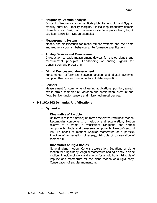#### **Frequency Domain Analysis**

Concept of frequency response. Bode plots. Nyquist plot and Nyquist stability criterion. Stability margins. Closed loop frequency domain characteristics. Design of compensator via Bode plots - Lead, Lag & Lag-lead controller. Design examples.

#### **Measurement System**

Models and classification for measurement systems and their time and frequency domain behaviours. Performance specifications.

#### **Analog Devices and Measurement**

Introduction to basic measurement devices for analog signals and measurement principles. Conditioning of analog signals for transmission and processing.

#### **Digital Devices and Measurement**

Fundamental differences between analog and digital systems. Sampling theorem and fundamentals of data acquisition.

#### **Sensors**

Measurement for common engineering applications: position, speed, stress, strain, temperature, vibration and acceleration, pressure and flow. Semiconductor sensors and micromechanical devices.

#### **ME 102/202 Dynamics And Vibrations**

#### **Dynamics**

#### **Kinematics of Particle**

Uniform rectilinear motion; Uniform accelerated rectilinear motion; Rectangular components of velocity and acceleration; Motion relative to a frame in translation; Tangential and normal components; Radial and transverse components. Newton's second law; Equations of motion; Angular momentum of a particle; Principle of conservation of energy; Principle of conservation of momentum.

#### **Kinematics of Rigid Bodies**

General plane motion; Coriolis acceleration. Equations of plane motion for a rigid body; Angular momentum of a rigid body in plane motion; Principle of work and energy for a rigid body; Principle of impulse and momentum for the plane motion of a rigid body; Conservation of angular momentum.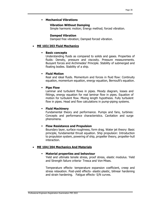#### **Mechanical Vibrations**

#### **Vibration Without Damping**

Simple harmonic motion; Energy method; forced vibration.

#### **Damped Vibration**

Damped free vibration; Damped forced vibration.

#### **ME 103/203 Fluid Mechanics**

#### **Basic concepts**

Understanding fluids as compared to solids and gases. Properties of fluids: Density, pressure and viscosity. Pressure measurements. Buoyant forces and Archimedes' Principle. Stability of submerged and floating bodies. Stability of a ship.

#### **Fluid Motion**

Real and ideal fluids. Momentum and forces in fluid flow: Continuity equation, momentum equation, energy equation, Bernoulli's equation.

#### **Pipe Flow**

Laminar and turbulent flows in pipes. Moody diagram, losses and fittings, energy equation for real laminar flow in pipes. Equation of motion for turbulent flow. Mixing length hypothesis. Fully turbulent flow in pipes. Head and flow calculations in pump-piping systems.

#### **Fluid Machinery**

Fundamental theory and performance. Pumps and fans, turbines: Concepts and performance characteristics. Cavitation and surge phenomena.

#### **Flow Resistance and Propulsion**

Boundary layer, surface roughness, form drag. Water jet theory: Basic principle, fundamental thrust equation. Ship propulsion: Introduction to propulsion system, powering of ship, propeller theory, propeller-hull interaction.

#### **ME 104/204 Mechanics And Materials**

#### **Material properties and behaviour**

Yield and ultimate tensile stress, proof stress, elastic modulus. Yield and Strength failure criteria- Tresca and Von-Mises.

Temperature effects- temperature expansion coefficient, creep and stress relaxation. Post-yield effects- elastic-plastic, bilinear hardening and strain hardening. Fatigue effects- S/N curves.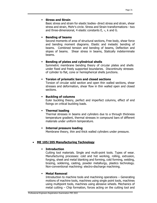# **Stress and Strain**

Basic stress and strain for elastic bodies- direct stress and strain, shear stress and strain, Mohr's circle. Stress and Strain transformations - two and three-dimensional, 4 elastic constants E,  $v$ , k and G.

# **Bending of beams**

Second moments of area of structural sections, Free body, shear force and bending moment diagrams. Elastic and inelastic bending of beams. Combined tension and bending of beams, Deflection and slopes of beams. Shear stress in beams, Statically indeterminate beams.

# **Bending of plates and cylindrical shells**

Symmetric membrane bending theory of circular plates and shells under fixed and freely supported boundaries. Discontinuity stresses of cylinder to flat, cone or hemispherical shells junctions.

# **Torsion of prismatic bars and closed sections**

Torsion of circular solid section and open thin walled sections, shear stresses and deformation, shear flow in thin walled open and closed sections.

# **Buckling of columns**

Euler buckling theory, perfect and imperfect columns, effect of end fixings on critical buckling loads.

# **Thermal loading**

Thermal stresses in beams and cylinders due to a through thickness temperature gradient, thermal stresses in compound bars of different materials under uniform temperature.

# **Internal pressure loading**

Membrane theory, thin and thick walled cylinders under pressure.

# **ME 105/205 Manufacturing Technology**

# **Introduction**

Cutting tool materials. Single and multi-point tools. Types of wear. Manufacturing processes: cold and hot working, rolling, extrusion, forging, sheet and metal blanking and forming, cold forming, welding, brazing, soldering, casting, powder metallurgy, plastics technology. Non-conventional machining: electro-discharge machining.

# **Metal Removal**

Introduction to machine tools and machining operations – Generating motions of machine tools, machines using single point tools, machines using multipoint tools, machines using abrasive wheels. Mechanics of metal cutting – Chip formation, forces acting on the cutting tool and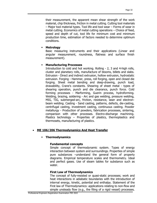their measurement, the apparent mean shear strength of the work material, chip thickness, friction in metal cutting. Cutting tool materials – Major tool material types. Tool life and tool wear – Forms of wear in metal cutting. Economics of metal cutting operations – Choice of feed, speed and depth of cut, tool life for minimum cost and minimum production time, estimation of factors needed to determine optimum conditions.

#### **Metrology**

Basic measuring instruments and their applications (Linear and angular measurement, roundness, flatness and surface finish measurement).

# **Manufacturing Processes**

Introduction to cold and hot working. Rolling - 2, 3 and 4-high rolls, cluster and planetary rolls, manufacture of blooms, billets and slabs. Extrusion - Direct and indirect extrusion, hollow extrusion, hydrostatic extrusion. Forging - Hammer, press, roll forging, open and closed die forging. Sheet metal bending and deep-drawing, punch load, drawability, Crane's constants. Shearing of sheet metal - types of shearing operation, punch and die clearance, punch force. Cold forming processes - Marforming, Guerin process, hydroforming. Welding, brazing, soldering - Arc and gas welding, pressure welding, MIG, TIG, submerged-arc, friction, resistance, laser and electronbeam welding. Casting - Sand casting, patterns, defects, die-casting, centrifugal casting, investment casting, continuous casting. Powder metallurgy - Production of powders, fabrication processes, sintering, comparison with other processes. Electro-discharge machining. Plastics technology – Properties of plastics, thermoplastics and thermosets, manufacturing of plastics.

# **ME 106/206 Thermodynamics And Heat Transfer**

# **Thermodynamics**

#### **Fundamental concepts**

Simple concept of thermodynamic system. Types of energy interaction between system and surroundings. Properties of simple pure substances –understand the general form of property diagrams. Empirical temperature scales and thermometry. Ideal and perfect gases. Use of steam tables for substance such as water.

# **First Law of Thermodynamics**

The concept of fully-resisted or quasi-static processes; work and heat interactions in adiabatic boundaries with the introduction of internal energy, kinetic, potential and enthalpy. Statement of the First law of Thermodynamics: applications relating to non-flow and simple unsteady flow (e.g., the filing of a rigid vessel) processes.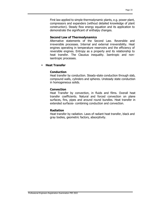First law applied to simple thermodynamic plants, e.g. power plant, compressors and expanders (without detailed knowledge of plant construction). Steady flow energy equation and its application to demonstrate the significant of enthalpy changes.

#### **Second Law of Thermodynamics**

Alternative statements of the Second Law. Reversible and irreversible processes. Internal and external irreversibility. Heat engines operating in temperature reservoirs and the efficiency of reversible engines. Entropy as a property and its relationship to heat transfer. The Clausius inequality. Isentropic and nonisentropic processes.

#### **Heat Transfer**

#### **Conduction**

Heat transfer by conduction. Steady-state conduction through slab, compound walls, cylinders and spheres. Unsteady state conduction in homogeneous solids.

#### **Convection**

Heat Transfer by convection, in fluids and films. Overall heat transfer coefficients. Natural and forced convection on plane surfaces, fins, pipes and around round bundles. Heat transfer in extended surfaces- combining conduction and convection.

#### **Radiation**

Heat transfer by radiation. Laws of radiant heat transfer, black and gray bodies, geometric factors, absorptivity.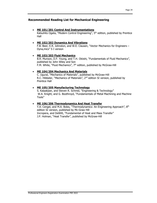#### **Recommended Reading List for Mechanical Engineering**

#### **ME 101/201 Control And Instrumentations**

Katsuhito Ogata, "Modern Control Engineering", 5<sup>th</sup> edition, published by Prentice Hall

#### **ME 102/202 Dynamics And Vibrations**

F.B. Beer, E.R. Johnston, and W.E. Clausen, "Vector Mechanics for Engineers – Dyna,mics" S I version

#### **ME 103/203 Fluid Mechanics**

B.R. Munson, D.F. Young, and T.H. Okiishi, "Fundamentals of Fluid Mechanics", published by John Wiley and Son F.M. White, "Fluid Mechanics",  $7<sup>th</sup>$  edition, published by McGraw-Hill

#### **ME 104/204 Mechanics And Materials**

C. Ugural, "Mechanics of Materials", published by McGraw-Hill R.C. Hibbeler, "Mechanics of Materials", 2<sup>nd</sup> edition SI version, published by Prentice Hall

#### **ME 105/205 Manufacturing Technology**

S. Kalpakjian, and Steven R. Schmid, "Engineering & Technology" W.A. Knight, and G. Boothroyd, "Fundamentals of Metal Machining and Machine Tools"

#### **ME 106/206 Thermodynamics And Heat Transfer**

Y.A. Cengel, and M.A. Boles, "Thermodynamics: An Engineering Approach", 8th edition SI version, published by Mc-Graw Hill Incropera, and DeWitt, "Fundamental of Heat and Mass Transfer" J.P. Holman, "Heat Transfer", published by McGraw-Hill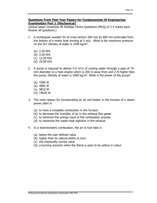#### **Questions From Past Year Papers for Fundamentals Of Engineering Examination Part 1 (Mechanical)**

(Actual paper comprises 40 Multiple Choice Questions (MCQ) of 2.5 marks each. Answer all questions.)

- 1. A rectangular wooden fin of cross section 200 mm by 600 mm protrudes from the bottom of a motor boat moving at 5 m/s. What is the maximum pressure on the fin? Density of water is 1000 kg/m3.
	- (a) 2.50 kPa
	- (b) 5.00 kPa
	- (c) 12,50 kPa
	- (d) 25.00 kPa
- 2. A pump is required to deliver 0.5  $\mathrm{m}^3$ /s of cooling water through a pipe of 75mm diameter to a heat engine which is 200 m away from and 2 m higher than the pump. Density of water is 1000 kg/m<sup>3</sup>. What is the power of the pump?
	- (a) 1000 W
	- (b) 4905 W
	- (c) 9810 W
	- (d) 19620 W
- 3. The main reason for incorporating an air pre-heater in the furnace of a steam power plant is
	- (a) to have a complete combustion in the furnace
	- (b) to decrease the humidity of air in the exhaust flue gases
	- (c) to minimize the energy input to the combustion process
	- (d) to maximize the waste heat rejection in the exhaust
- 4. In a stoichiometric combustion, the air to fuel ratio is
	- (a) below the user defined value
	- (b) higher than its natural ability to burn
	- (c) the chemically correct value
	- (d) a burning scenario when the flame is seen to be yellow in colour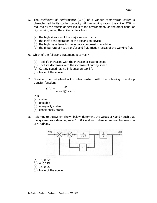- 5. The coefficient of performance (COP) of a vapour compression chiller is characterized by its cooling capacity. At low cooling rates, the chiller COP is reduced by the effects of heat leaks to the environment. On the other hand, at high cooling rates, the chiller suffers from
	- (a) the high vibration of the major moving parts
	- (b) the inefficient operation of the expansion device
	- (c) the high mass leaks in the vapour compression machine
	- (d) the finite-rate of heat transfer and fluid friction losses of the working fluid
- 6. Which of the following statement is correct?
	- (a) Tool life increases with the increase of cutting speed
	- (b) Tool life decreases with the increase of cutting speed
	- (c) Cutting speed has no influence on tool life
	- (d) None of the above
- 7. Consider the unity-feedback control system with the following open-loop transfer function:

$$
G(s) = \frac{10}{s(s-1)(2s+3)}
$$

It is:

- (a) stable
- (b) unstable
- (c) marginally stable
- (d) conditionally stable
- 8. Referring to the system shown below, determine the values of K and k such that the system has a damping ratio ζ of 0.7 and an undamped natural frequency ω of 4 rad/sec.



- (a) 16, 0.225
- (b) 4, 0.225
- (c) 16, 0.05
- (d) None of the above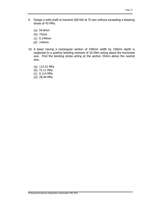- 9. Design a solid shaft to transmit 200 KW at 75 rpm without exceeding a shearing stress of 43 MPa.
	- (a) 54.8mm
	- (b) 72mm
	- (c) 0.144mm
	- (d) 144mm
- 10. A beam having a rectangular section of 100mm width by 150mm depth is subjected to a positive bending moment of 16 KNm acting about the horizontal axis. Find the bending stress acting at the section 25mm above the neutral axis.
	- (a) 114.22 MPa
	- (b) 72.11 MPa
	- (c) 0.114 MPa
	- (d) 28.44 MPa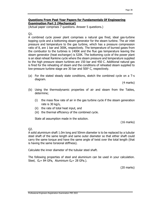#### **Questions From Past Year Papers for Fundamentals Of Engineering Examination Part 2 (Mechanical)**

(Actual paper comprises 7 questions. Answer 5 questions.)

# Q1.

A combined cycle power plant comprises a natural gas fired, ideal gas-turbine topping cycle and a bottoming steam-generator for the steam turbine. The air inlet pressure and temperature to the gas turbine, which has a pressure compression ratio of 8, are 1 bar and 300K, respectively. The temperature of burned gases from the combustor to the turbines is 1400K and the flue gas temperature leaving the steam generator (heat exchanger) is 520K. The bottoming cycle of the power plant is an ideal reheat Rankine cycle where the steam pressure and temperature supplied to the high pressure steam turbines are 150 bar and 450 C. Additional natural gas is fired for the reheating of steam and the conditions of reheated steam supplied to low-pressure turbine stage are 30 bar and 500° C, respectively.

(a) For the stated steady state conditions, sketch the combined cycle on a T-s diagram.

(4 marks)

- (b) Using the thermodynamic properties of air and steam from the Tables, determine;
	- (i) the mass flow rate of air in the gas turbine cycle if the steam generation rate is 30 kg/s,
	- (ii) the rate of total heat input, and
	- (iii) the thermal efficiency of the combined cycle.

State all assumption made in the solution.

(16 marks)

Q2.

A solid aluminium shaft 1.0m long and 50mm diameter is to be replaced by a tubular steel shaft of the same length and same outer diameter so that either shaft could carry the same torque and have the same angle of twist over the total length (that is having the same torsional stiffness).

Calculate the inner diameter of the tubular steel shaft.

The following properties of steel and aluminium can be used in your calculation. Steel,  $G_s = 84$  GPa, Aluminium  $G_a = 28$  GPa.).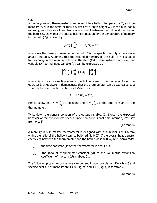Q3.

A mercury-in-bulb thermometer is immersed into a bath of temperature  $T_i$ , and the mercury level in the stem of radius  $r_s$  rises by a finite height  $X_o$ . If the bulb has a radius  $r<sub>b</sub>$ , and the overall heat transfer coefficient between the bulb and the fluid of the bath is U, show that the energy balance equation for the temperature of mercury in the bulb ( $T_b$ ) is given by

$$
\rho CV_b \left(\frac{dT_b}{dt}\right) = UA_b(T_i - T_b)
$$

where  $\rho$  is the density of mercury in the bulb, C is the specific heat,  $A_b$  is the surface area of the bulb. Assuming that the expanded mercury of the bulb ( $\beta V_bT$ ) is equal to the change of the mercury volume in the stem  $(X_0A_s)$ , demonstrate that the output variable  $(X<sub>o</sub>)$  to the input variable ( $T<sub>i</sub>$ ) can be expressed as

$$
\left[\frac{\rho CV_b}{U A_b}\right]\left(\frac{dX_o}{dt}\right)+X_o=\left[\frac{\beta V_b}{A_S}\right]T_i
$$

where  $A<sub>s</sub>$  is the cross section area of the hollow stem of thermometer. Using the operator D or equivalent, demonstrate that the thermometer can be expressed as a 1<sup>st</sup> order transfer function in terms of  $X_0$  to  $T_i$  as;

$$
(\tau D + 1)X_o = K T_i
$$

Hence, show that  $K = \frac{\beta V_b}{A_S}$ , a constant and  $\tau = \frac{\rho C V_b}{U A_b}$ , is the time constant of the thermometer.

Write down the general solution of the output variable,  $X_0$ . Sketch the expected behavior of the thermometer over a finite non-dimensional time internals,  $t/\tau$ , say from 0 to 5.

(12 marks)

A mercury-in-bulb master thermometer is designed with a bulb radius of 1.6 mm whilst the ratio of the hollow stem to bulb radii is 0.07. If the overall heat transfer coefficient between the thermometer and the bath fluid is 800  $W/m^2$ .K, show that:

- (i) the time constant  $(\tau)$  of the thermometer is about 4 s,
- (ii) the ratio of thermometer constant  $(K)$  to the volumetric expansion coefficient of mercury ( $\beta$ ) is about 0.1.

The following properties of mercury can be used in your calculation: Density  $(\rho)$  and specific heat (C) of mercury are 13500 kg/m<sup>3</sup> and 140 J/kg.K, respectively.

(8 marks)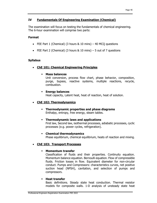# **IV Fundamentals Of Engineering Examination (Chemical)**

The examination will focus on testing the fundamentals of chemical engineering. The 6-hour examination will comprise two parts:

#### **Format**

- FEE Part 1 (Chemical) (3 hours & 10 mins) 40 MCQ questions
- FEE Part 2 (Chemical) (3 hours  $& 10$  mins) 5 out of 7 questions

# **Syllabus**

**ChE 101: Chemical Engineering Principles** 

## **Mass balances**

Unit conversion, process flow chart, phase behavior, composition, purge, bypass, reactive systems, multiple reactions, recycle, combustion.

## **Energy balances**

Heat capacity, Latent heat, heat of reaction, heat of solution.

# **ChE 102: Thermodynamics**

- **Thermodynamic properties and phase diagrams**  Enthalpy, entropy, free energy, steam tables.
- **Thermodynamic laws and applications**  First law, Second law, isothermal processes, adiabatic processes, cyclic processes (e.g. power cycles, refrigeration).

#### **Chemical thermodynamics**  Phase equilibrium, chemical equilibrium, heats of reaction and mixing.

# **ChE 103: Transport Processes**

# **Momentum transfer**

Classification of fluids and their properties. Continuity equation. Momentum balance equation. Bernoulli equation. Flow of compressible fluids. Friction losses in flow. Equivalent diameter for non-circular conduct. Pumps and Compressors: characteristics curves, net positive suction head (NPSH), cavitation, and selection of pumps and compressors.

#### **Heat transfer**

Basic definitions. Steady state heat conduction. Thermal resistor models for composite walls. 1-D analysis of unsteady state heat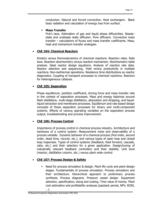conduction. Natural and forced convection. Heat exchangers. Black body radiation and calculation of energy loss from surface.

#### **Mass Transfer**

Fick's laws. Estimation of gas and liquid phase diffusivities. Steadystate and unsteady state diffusion. Pore diffusion. Convective mass transfer – calculations of fluxes and mass transfer coefficients. Mass, heat and momentum transfer analogies.

# **ChE 104: Chemical Reactors**

Kinetics versus thermodynamics of chemical reactions. Reaction rates. Rate laws. Reaction stoichiometry versus reaction mechanism. Stoichiometric table analysis. Ideal reactor design equations. Analysis of reaction rate data. Reactor selection and sequencing. Yield versus productivity in multiple reactions. Non-isothermal operations. Residence time distributions as reactor diagnostics. Coupling of transport processes to chemical reactions. Reactors for heterogeneous catalysis.

# **ChE 105: Separation**

Phase equilibrium, partition coefficient, driving force and mass transfer rate in the context of separation processes. Mass and energy balances around flash distillation, multi-stage distillation, absorption and stripping, and liquidliquid extraction and membrane processes. Equilibrium and rate based design concepts of these separation processes for binary and multi-component systems. Effects of various operating variables on the separation process output, troubleshooting and process improvement.

# **ChE 106: Process Control**

Importance of process control in chemical process industry. Architecture and hardware of a control system. Measurement noise and observability of a process variable. Dynamic behavior of a chemical process (first order, second order, dead time, recycle, etc.), and various types of open loop and closed loop responses. Types of control systems (feedback, feed forward, cascade, ratio, etc.) and their selection for a given application. Design/tuning of industrially relevant feedback controllers and their stability. Unit level (reactor, distillation column, etc.) versus plant wide control.

# **ChE 107: Process Design & Safety**

 Need for process simulation & design. Plant life cycle and plant design stages. Fundamentals of process simulation. Process simulators and their architecture. Hierarchical approach to preliminary process synthesis. Process diagrams. Pressure vessel design. Equipment selection, specification, sizing and costing. Time value of money. Plant cost estimation and profitability analyses (payback period, NPV, RORI, …).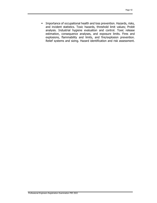**Importance of occupational health and loss prevention. Hazards, risks,** and incident statistics. Toxic hazards, threshold limit values; Probit analysis. Industrial hygiene evaluation and control. Toxic release estimation, consequence analyses, and exposure limits. Fires and explosions, flammability and limits, and fire/explosion prevention. Relief systems and sizing. Hazard identification and risk assessment.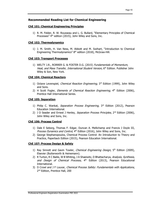# **Recommended Reading List for Chemical Engineering**

#### **ChE 101: Chemical Engineering Principles**

1) R. M. Felder, R. W. Rousseau and L. G. Bullard, "Elementary Principles of Chemical Processes" 4<sup>th</sup> edition (2015), John Wiley and Sons, Inc.

#### **ChE 102: Thermodynamics**

1) J. M. Smith, H. Van Ness, M. Abbott and M. Swihart, "Introduction to Chemical Engineering Thermodynamics" 8<sup>th</sup> edition (2018), McGraw-Hill.

#### **ChE 103: Transport Processes**

1) WELTY J.R., RORRER G. & FOSTER D.G. (2015) Fundamentals of Momentum, Heat, and Mass Transfer, International Student Version, 6<sup>th</sup> Edition. Publisher John Wiley & Son, New York.

#### **ChE 104: Chemical Reactors**

- 1) Octave Levenspiel, *Chemical Reaction Engineering*, 3<sup>rd</sup> Edition (1999), John Wiley and Sons.
- 2) H Scott Fogler, *Elements of Chemical Reaction Engineering*,  $4<sup>th</sup>$  Edition (2006), Prentice Hall International Series.

#### **ChE 105: Separation**

- 1) Philip C. Wankat, Separation Process Engineering, 3rd Edition (2012), Pearson Education International.
- 2) J D Seader and Ernest J Henley, Separation Process Principles, 2<sup>nd</sup> Edition (2006), John Wiley and Sons, Inc.

#### **ChE 106: Process Control**

- 1) Dale E Seborg, Thomas F. Edgar, Duncan A. Mellichamp and Francis J Doyle III, Process Dynamics and Control, 4<sup>th</sup> Edition (2016), John Wiley and Sons, Inc.
- 2) George Stephanopoulos, Chemical Process Control: An Introduction to Theory and Practice, Paperback Edition (2015), Pearson Education International.

#### **ChE 107: Process Design & Safety**

- 1) Ray Sinnott and Gavin Towler, *Chemical Engineering Design*,  $5<sup>th</sup>$  Edition (2009), Elsevier (Butterworth & Heinemann).
- 2) R Turton, R C Bailie, W B Whiting, J A Shaeiwitz, D Bhattacharya, Analysis, Synthesis, and Design of Chemical Processs, 4<sup>th</sup> Edition (2013), Pearson Educational International.
- 3) D Crowl and J F Louvar, Chemical Process Safety: Fundamentals with Applications, 2<sup>nd</sup> Edition, Prentice Hall, 200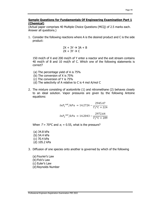#### **Sample Questions for Fundamentals Of Engineering Examination Part 1 (Chemical)**

(Actual paper comprises 40 Multiple Choice Questions (MCQ) of 2.5 marks each. Answer all questions.)

1. Consider the following reactions where A is the desired product and C is the side product:

$$
2X + 3Y \rightarrow 3A + B
$$

$$
2X + 3Y \rightarrow C
$$

150 mol/h of X and 200 mol/h of Y enter a reactor and the exit stream contains 40 mol/h of B and 10 mol/h of C. Which one of the following statements is correct?

- (a) The percentage yield of A is 75%
- (b) The conversion of X is 75%
- (c) The conversion of Y is 75%
- (d) The selectivity of A relative to C is 4 mol A/mol C
- 2. The mixture consisting of acetonitrile (1) and nitromethane (2) behaves closely to an ideal solution. Vapor pressures are given by the following Antoine equations:

$$
lnP1sat/kPa = 14.2724 - \frac{2945.47}{T/°C + 224}
$$

$$
lnP2sat/kPa = 14.2043 - \frac{2972.64}{T/°C + 209}
$$

When  $T = 70^{\circ}\text{C}$  and  $x_1 = 0.55$ , what is the pressure?

 (a) 34.8 kPa (b) 54.4 kPa (c) 70.4 kPa (d) 105.2 kPa

- 3. Diffusion of one species onto another is governed by which of the following
	- (a) Fourier's Law (b) Fick's Law (c) Euler's Law (d) Reynolds Number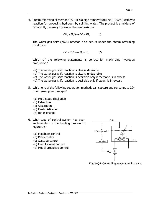4. Steam reforming of methane (SRM) is a high temperature (700-1000 $^{\circ}$ C) catalytic reaction for producing hydrogen by splitting water. The product is a mixture of CO and  $H_2$  generally known as the synthesis gas

$$
CH_4 + H_2O \rightarrow CO + 3H_2 \tag{1}
$$

The water-gas shift (WGS) reaction also occurs under the steam reforming conditions.

$$
CO + H_2O \rightarrow CO_2 + H_2 \tag{2}
$$

Which of the following statements is correct for maximizing hydrogen production?

- (a) The water-gas shift reaction is always desirable
- (b) The water-gas shift reaction is always undesirable
- (c) The water-gas shift reaction is desirable only if methane is in excess
- (d) The water-gas shift reaction is desirable only if steam is in excess
- 5. Which one of the following separation methods can capture and concentrate  $CO<sub>2</sub>$ from power plant flue gas?
	- (a) Multi-stage distillation
	- (b) Extraction
	- (c) Absorption
	- (d) Flash distillation
	- (e) Ion exchange
- 6. What type of control system has been implemented in the heating process in Figure Q6?
	- (a) Feedback control
	- (b) Ratio control
	- (c) Cascade control
	- (d) Feed forward control
	- (e) Model predictive control



Figure Q6: Controlling temperature in a tank.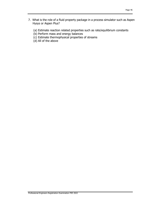- 7. What is the role of a fluid property package in a process simulator such as Aspen Hysys or Aspen Plus?
	- (a) Estimate reaction related properties such as rate/equilibrium constants
	- (b) Perform mass and energy balances
	- (c) Estimate thermophysical properties of streams
	- (d) All of the above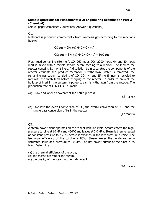#### **Sample Questions for Fundamentals Of Engineering Examination Part 2 (Chemical)**

(Actual paper comprises 7 questions. Answer 5 questions.)

Q1.

Methanol is produced commercially from synthesis gas according to the reactions below:

 $CO$  (g) + 2H<sub>2</sub> (g)  $\rightarrow$  CH<sub>3</sub>OH (g)

 $CO_2$  (g) + 3H<sub>2</sub> (g)  $\rightarrow$  CH<sub>3</sub>OH (g) + H<sub>2</sub>O (g)

Fresh feed containing 660 mol/s CO, 260 mol/s  $CO<sub>2</sub>$ , 2200 mol/s H<sub>2</sub>, and 50 mol/s inert is mixed with a recycle stream before feeding to a reactor. The feed to the reactor contains 11 mol% inert. A distillation train separates the components of the reactor effluent: the product methanol is withdrawn, water is removed, the remaining gas stream consisting of CO,  $CO<sub>2</sub>$ , H<sub>2</sub> and 15 mol% inert is recycled to mix with the fresh feed before charging to the reactor. In order to prevent the buildup of inert in the system, a purge stream is withdrawn from the recycle. The production rate of CH<sub>3</sub>OH is 870 mol/s.

(a) Draw and label a flowchart of the entire process.

(3 marks)

(b) Calculate the overall conversion of CO, the overall conversion of  $CO<sub>2</sub>$  and the single pass conversion of  $H_2$  in the reactor.

(17 marks)

Q2.

A steam power plant operates on the reheat Rankine cycle. Steam enters the highpressure turbine at 10 MPa and 450°C and leaves at 2.0 MPa. Steam is then reheated at constant pressure to 450°C before it expands in the low-pressure turbine. The isentropic efficiency of the turbine is 80%. Steam leaves the condenser as a saturated liquid at a pressure of 10 kPa. The net power output of the plant is 75 MW. Determine

- (a) the thermal efficiency of the cycle,
- (b) the mass flow rate of the steam,
- (c) the quality of the steam at the turbine exit.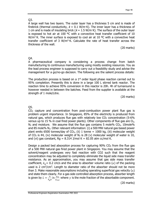### Q3.

A large wall has two layers. The outer layer has a thickness 5 cm and is made of firebrick (thermal conductivity,  $k = 0.1$  W/m·K). The inner layer has a thickness of 1 cm and is made of insulating brick ( $k = 1.5$  W/m·K). The surface of the outer layer is exposed to hot air at 100  $^{\circ}$ C with a convective heat transfer coefficient of 10 W/m<sup>2</sup>·K. The inner surface is exposed to cool air at 10  $\degree$ C with a convective heat transfer coefficient of 3 W/m<sup>2</sup> $\cdot$ K. Calculate the rate of heat transfer across the thickness of the wall.

(20 marks)

## Q4.

A pharmaceutical company is considering a process change from batch manufacturing to continuous manufacturing using mostly existing resources. You as the lead process engineer is supposed to carry out a feasibility study and advise the management for a go/no-go decision. The following are the salient process details:

The production process is based on a  $1<sup>st</sup>$  order liquid phase reaction carried out to 95% completion. Presently this is done in a large 100 L stirred tank reactor. The reaction time to achieve 95% conversion in this reactor is 20h. 4h of turnaround is however needed in between the batches. Feed from the supplier is available at the strength of 1 mole/Litre.

(20 marks)

Q5.

 $CO<sub>2</sub>$  capture and concentration from post-combustion power plant flue gas is problem urgent importance. In Singapore, 85% of the electricity is produced from natural gas, which produces flue gas with relatively low  $CO<sub>2</sub>$  concentration (5-6%) versus up to 15 % in coal fired power plants). Other components of flue gas are  $O<sub>2</sub>$ ,  $N<sub>2</sub>$  and moisture. We assume that the flue gas contains 5 mole%  $CO<sub>2</sub>$ , 10mole% and 85 mole% N2. Other relevant information: (i) a 500 MW natural gas based power plant emits 6500 tonnes/day of  $CO<sub>2</sub>$ , (ii) 1 tonne = 1000 kg, (iii) molecular weight of CO<sub>2</sub> is 44, (iv) molecular weight of  $N_2$  is 28 (v) molecular weight of water is 10, and (vi) gas constant,  $Rg = 8.314$  J/mol K = 82.05 atm cc/mol K.

Design a packed bed absorption process for capturing  $90\%$  CO<sub>2</sub> from the flue gas of a 500 MW natural gas fired power plant in Singapore. You may assume that the solvent/reagent undergoes very fast reaction with CO2 such that the reagent concentration may be adjusted to completely eliminate the liquid side mass transfer resistance. As an approximation, you may assume that gas side mass transfer coefficient,  $k_g$  = 0.2 cm/s and the area to absorber volume ratio (a) of the packing used is 2  $cm<sup>2</sup>/cm<sup>3</sup>$ . Length to diameter ratio of the absorber should not be more than 3. Make reasonable assumptions including operating superficial gas velocity  $(u)$ and state them clearly. For a gas side controlled absorption process, absorber length is given by  $L = \frac{u}{k_g a} ln \frac{y_{in}}{y_{out}}$  where y is the mole fraction of the absorbable component.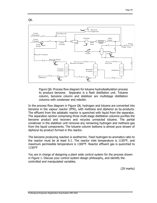Q6.



Figure Q6: Process flow diagram for toluene hydrodealkylation process to produce benzene. Separator is a flash distillation unit. Toluene column, benzene column and stabilizer are multistage distillation columns with condenser and reboiler.

In the process flow diagram in Figure Q6, hydrogen and toluene are converted into benzene in the vapour reactor (PFR), with methane and diphenyl as by-products. The effluent from the adiabatic reactor is quenched with liquid from the separator. The separation section comprising three multi-stage distillation columns purifies the benzene product and recovers and recycles unreacted toluene. The partial condenser in the stabilizer unit removes any remaining hydrogen and methane gas from the liquid components. The toluene column bottoms is almost pure stream of diphenyl by-product formed in the reactor.

The benzene producing reaction is exothermic. Feed hydrogen-to-aromatics ratio to the reactor must be at least 5:1. The reactor inlet temperature is 1150°F, and maximum permissible temperature is 1300°F. Reactor effluent gas is quenched to 1150°F

You are in charge of designing a plant wide control system for the process shown in Figure 1. Discuss your control system design philosophy, and identify the controlled and manipulated variables.